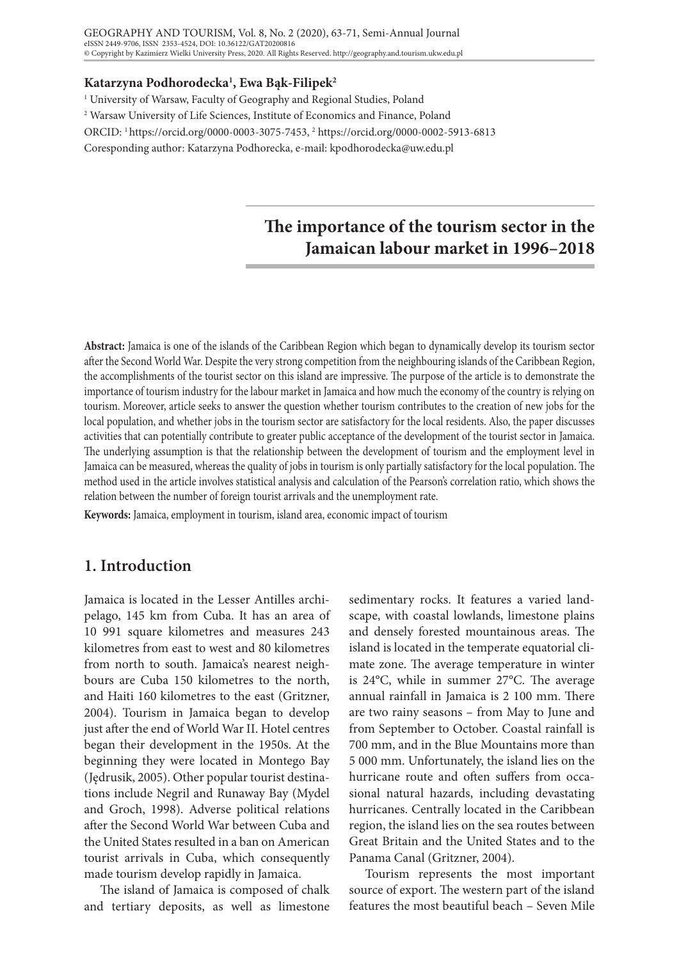#### GEOGRAPHY AND TOURISM, Vol. 8, No. 2 (2020), 63-71, Semi-Annual Journal eISSN 2449-9706, ISSN 2353-4524, DOI: 10.36122/GAT20200816 © Copyright by Kazimierz Wielki University Press, 2020. All Rights Reserved. http://geography.and.tourism.ukw.edu.pl

#### **Katarzyna Podhorodecka1 , Ewa Bąk-Filipek2**

<sup>1</sup> University of Warsaw, Faculty of Geography and Regional Studies, Poland

2 Warsaw University of Life Sciences, Institute of Economics and Finance, Poland

ORCID: 1 https://orcid.org/0000-0003-3075-7453, 2 https://orcid.org/0000-0002-5913-6813

Coresponding author: Katarzyna Podhorecka, e-mail: kpodhorodecka@uw.edu.pl

# **The importance of the tourism sector in the Jamaican labour market in 1996–2018**

**Abstract:** Jamaica is one of the islands of the Caribbean Region which began to dynamically develop its tourism sector after the Second World War. Despite the very strong competition from the neighbouring islands of the Caribbean Region, the accomplishments of the tourist sector on this island are impressive. The purpose of the article is to demonstrate the importance of tourism industry for the labour market in Jamaica and how much the economy of the country is relying on tourism. Moreover, article seeks to answer the question whether tourism contributes to the creation of new jobs for the local population, and whether jobs in the tourism sector are satisfactory for the local residents. Also, the paper discusses activities that can potentially contribute to greater public acceptance of the development of the tourist sector in Jamaica. The underlying assumption is that the relationship between the development of tourism and the employment level in Jamaica can be measured, whereas the quality of jobs in tourism is only partially satisfactory for the local population. The method used in the article involves statistical analysis and calculation of the Pearson's correlation ratio, which shows the relation between the number of foreign tourist arrivals and the unemployment rate.

**Keywords:** Jamaica, employment in tourism, island area, economic impact of tourism

## **1. Introduction**

Jamaica is located in the Lesser Antilles archipelago, 145 km from Cuba. It has an area of 10 991 square kilometres and measures 243 kilometres from east to west and 80 kilometres from north to south. Jamaica's nearest neighbours are Cuba 150 kilometres to the north, and Haiti 160 kilometres to the east (Gritzner, 2004). Tourism in Jamaica began to develop just after the end of World War II. Hotel centres began their development in the 1950s. At the beginning they were located in Montego Bay (Jędrusik, 2005). Other popular tourist destinations include Negril and Runaway Bay (Mydel and Groch, 1998). Adverse political relations after the Second World War between Cuba and the United States resulted in a ban on American tourist arrivals in Cuba, which consequently made tourism develop rapidly in Jamaica.

The island of Jamaica is composed of chalk and tertiary deposits, as well as limestone

sedimentary rocks. It features a varied landscape, with coastal lowlands, limestone plains and densely forested mountainous areas. The island is located in the temperate equatorial climate zone. The average temperature in winter is 24°C, while in summer 27°C. The average annual rainfall in Jamaica is 2 100 mm. There are two rainy seasons – from May to June and from September to October. Coastal rainfall is 700 mm, and in the Blue Mountains more than 5 000 mm. Unfortunately, the island lies on the hurricane route and often suffers from occasional natural hazards, including devastating hurricanes. Centrally located in the Caribbean region, the island lies on the sea routes between Great Britain and the United States and to the Panama Canal (Gritzner, 2004).

Tourism represents the most important source of export. The western part of the island features the most beautiful beach – Seven Mile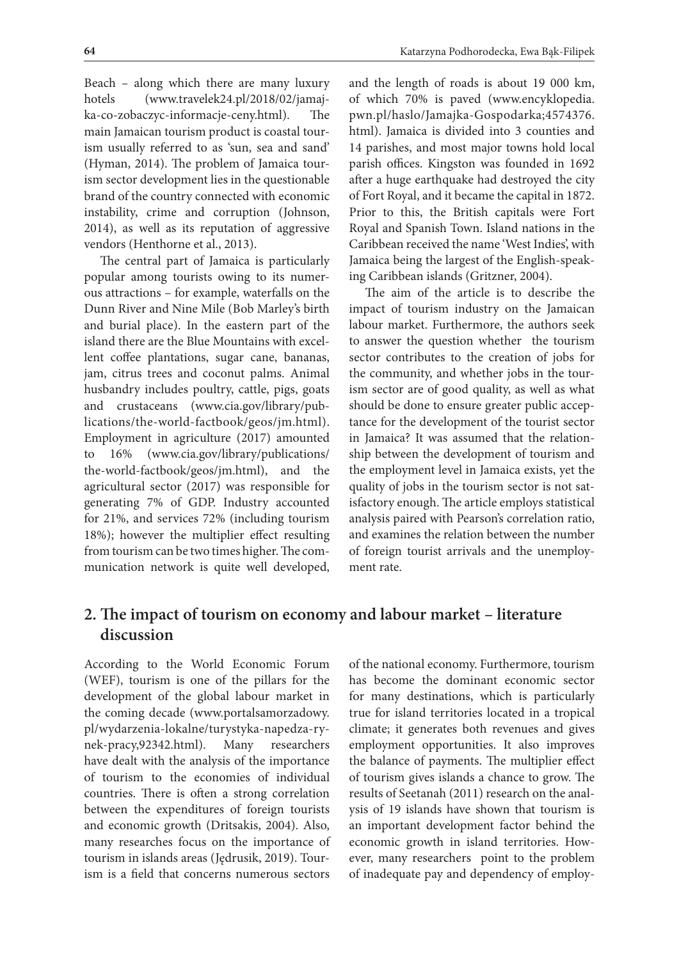Beach – along which there are many luxury hotels (www.travelek24.pl/2018/02/jamajka-co-zobaczyc-informacje-ceny.html). The main Jamaican tourism product is coastal tourism usually referred to as 'sun, sea and sand' (Hyman, 2014). The problem of Jamaica tourism sector development lies in the questionable brand of the country connected with economic instability, crime and corruption (Johnson, 2014), as well as its reputation of aggressive vendors (Henthorne et al., 2013).

The central part of Jamaica is particularly popular among tourists owing to its numerous attractions – for example, waterfalls on the Dunn River and Nine Mile (Bob Marley's birth and burial place). In the eastern part of the island there are the Blue Mountains with excellent coffee plantations, sugar cane, bananas, jam, citrus trees and coconut palms. Animal husbandry includes poultry, cattle, pigs, goats and crustaceans (www.cia.gov/library/publications/the-world-factbook/geos/jm.html). Employment in agriculture (2017) amounted to 16% (www.cia.gov/library/publications/ the-world-factbook/geos/jm.html), and the agricultural sector (2017) was responsible for generating 7% of GDP. Industry accounted for 21%, and services 72% (including tourism 18%); however the multiplier effect resulting from tourism can be two times higher. The communication network is quite well developed,

and the length of roads is about 19 000 km, of which 70% is paved (www.encyklopedia. pwn.pl/haslo/Jamajka-Gospodarka;4574376. html). Jamaica is divided into 3 counties and 14 parishes, and most major towns hold local parish offices. Kingston was founded in 1692 after a huge earthquake had destroyed the city of Fort Royal, and it became the capital in 1872. Prior to this, the British capitals were Fort Royal and Spanish Town. Island nations in the Caribbean received the name 'West Indies', with Jamaica being the largest of the English-speaking Caribbean islands (Gritzner, 2004).

The aim of the article is to describe the impact of tourism industry on the Jamaican labour market. Furthermore, the authors seek to answer the question whether the tourism sector contributes to the creation of jobs for the community, and whether jobs in the tourism sector are of good quality, as well as what should be done to ensure greater public acceptance for the development of the tourist sector in Jamaica? It was assumed that the relationship between the development of tourism and the employment level in Jamaica exists, yet the quality of jobs in the tourism sector is not satisfactory enough. The article employs statistical analysis paired with Pearson's correlation ratio, and examines the relation between the number of foreign tourist arrivals and the unemployment rate.

## **2. The impact of tourism on economy and labour market – literature discussion**

According to the World Economic Forum (WEF), tourism is one of the pillars for the development of the global labour market in the coming decade (www.portalsamorzadowy. pl/wydarzenia-lokalne/turystyka-napedza-rynek-pracy,92342.html). Many researchers have dealt with the analysis of the importance of tourism to the economies of individual countries. There is often a strong correlation between the expenditures of foreign tourists and economic growth (Dritsakis, 2004). Also, many researches focus on the importance of tourism in islands areas (Jędrusik, 2019). Tourism is a field that concerns numerous sectors

of the national economy. Furthermore, tourism has become the dominant economic sector for many destinations, which is particularly true for island territories located in a tropical climate; it generates both revenues and gives employment opportunities. It also improves the balance of payments. The multiplier effect of tourism gives islands a chance to grow. The results of Seetanah (2011) research on the analysis of 19 islands have shown that tourism is an important development factor behind the economic growth in island territories. However, many researchers point to the problem of inadequate pay and dependency of employ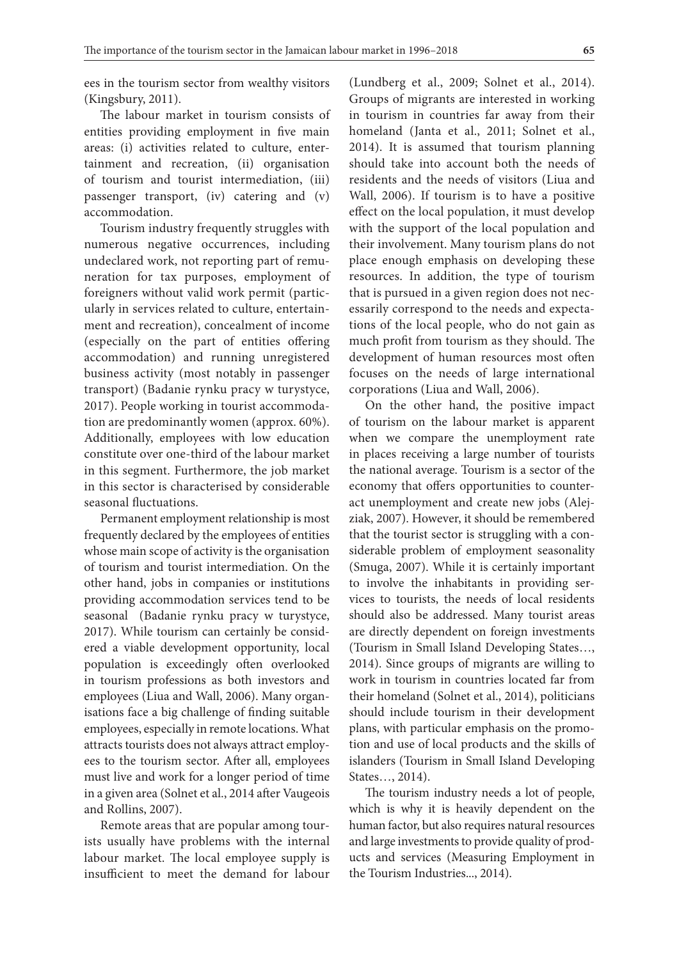ees in the tourism sector from wealthy visitors (Kingsbury, 2011).

The labour market in tourism consists of entities providing employment in five main areas: (i) activities related to culture, entertainment and recreation, (ii) organisation of tourism and tourist intermediation, (iii) passenger transport, (iv) catering and (v) accommodation.

Tourism industry frequently struggles with numerous negative occurrences, including undeclared work, not reporting part of remuneration for tax purposes, employment of foreigners without valid work permit (particularly in services related to culture, entertainment and recreation), concealment of income (especially on the part of entities offering accommodation) and running unregistered business activity (most notably in passenger transport) (Badanie rynku pracy w turystyce, 2017). People working in tourist accommodation are predominantly women (approx. 60%). Additionally, employees with low education constitute over one-third of the labour market in this segment. Furthermore, the job market in this sector is characterised by considerable seasonal fluctuations.

Permanent employment relationship is most frequently declared by the employees of entities whose main scope of activity is the organisation of tourism and tourist intermediation. On the other hand, jobs in companies or institutions providing accommodation services tend to be seasonal (Badanie rynku pracy w turystyce, 2017). While tourism can certainly be considered a viable development opportunity, local population is exceedingly often overlooked in tourism professions as both investors and employees (Liua and Wall, 2006). Many organisations face a big challenge of finding suitable employees, especially in remote locations. What attracts tourists does not always attract employees to the tourism sector. After all, employees must live and work for a longer period of time in a given area (Solnet et al., 2014 after Vaugeois and Rollins, 2007).

Remote areas that are popular among tourists usually have problems with the internal labour market. The local employee supply is insufficient to meet the demand for labour

(Lundberg et al., 2009; Solnet et al., 2014). Groups of migrants are interested in working in tourism in countries far away from their homeland (Janta et al., 2011; Solnet et al., 2014). It is assumed that tourism planning should take into account both the needs of residents and the needs of visitors (Liua and Wall, 2006). If tourism is to have a positive effect on the local population, it must develop with the support of the local population and their involvement. Many tourism plans do not place enough emphasis on developing these resources. In addition, the type of tourism that is pursued in a given region does not necessarily correspond to the needs and expectations of the local people, who do not gain as much profit from tourism as they should. The development of human resources most often focuses on the needs of large international corporations (Liua and Wall, 2006).

On the other hand, the positive impact of tourism on the labour market is apparent when we compare the unemployment rate in places receiving a large number of tourists the national average. Tourism is a sector of the economy that offers opportunities to counteract unemployment and create new jobs (Alejziak, 2007). However, it should be remembered that the tourist sector is struggling with a considerable problem of employment seasonality (Smuga, 2007). While it is certainly important to involve the inhabitants in providing services to tourists, the needs of local residents should also be addressed. Many tourist areas are directly dependent on foreign investments (Tourism in Small Island Developing States…, 2014). Since groups of migrants are willing to work in tourism in countries located far from their homeland (Solnet et al., 2014), politicians should include tourism in their development plans, with particular emphasis on the promotion and use of local products and the skills of islanders (Tourism in Small Island Developing States…, 2014).

The tourism industry needs a lot of people, which is why it is heavily dependent on the human factor, but also requires natural resources and large investments to provide quality of products and services (Measuring Employment in the Tourism Industries..., 2014).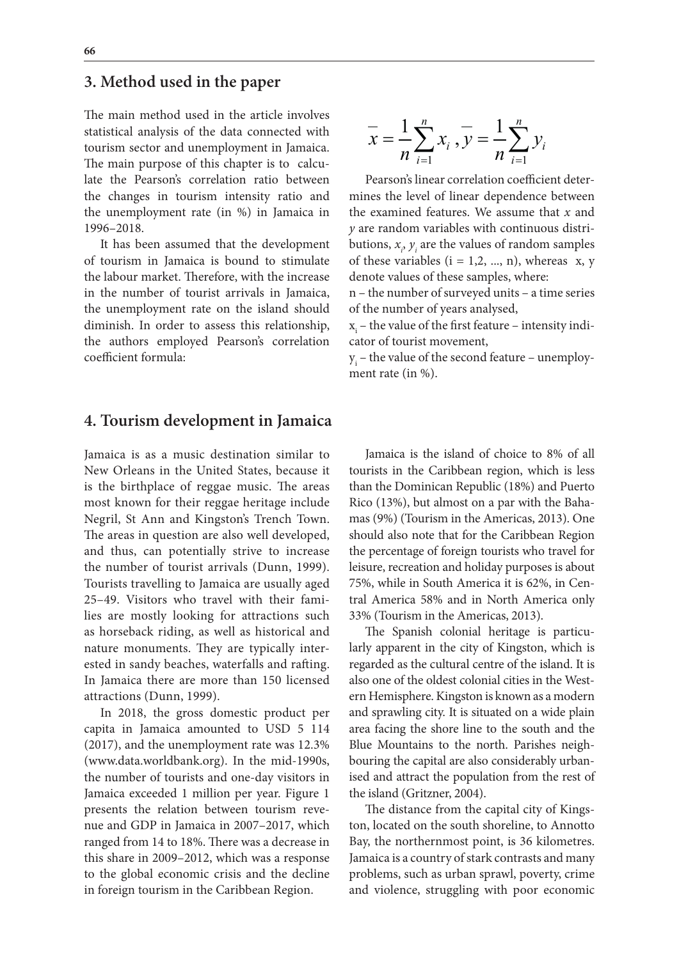### **3. Method used in the paper**

The main method used in the article involves statistical analysis of the data connected with tourism sector and unemployment in Jamaica. The main purpose of this chapter is to calculate the Pearson's correlation ratio between the changes in tourism intensity ratio and the unemployment rate (in %) in Jamaica in 1996–2018.

It has been assumed that the development of tourism in Jamaica is bound to stimulate the labour market. Therefore, with the increase in the number of tourist arrivals in Jamaica, the unemployment rate on the island should diminish. In order to assess this relationship, the authors employed Pearson's correlation coefficient formula:

#### **4. Tourism development in Jamaica**

Jamaica is as a music destination similar to New Orleans in the United States, because it is the birthplace of reggae music. The areas most known for their reggae heritage include Negril, St Ann and Kingston's Trench Town. The areas in question are also well developed, and thus, can potentially strive to increase the number of tourist arrivals (Dunn, 1999). Tourists travelling to Jamaica are usually aged 25–49. Visitors who travel with their families are mostly looking for attractions such as horseback riding, as well as historical and nature monuments. They are typically interested in sandy beaches, waterfalls and rafting. In Jamaica there are more than 150 licensed attractions (Dunn, 1999).

In 2018, the gross domestic product per capita in Jamaica amounted to USD 5 114 (2017), and the unemployment rate was 12.3% (www.data.worldbank.org). In the mid-1990s, the number of tourists and one-day visitors in Jamaica exceeded 1 million per year. Figure 1 presents the relation between tourism revenue and GDP in Jamaica in 2007–2017, which ranged from 14 to 18%. There was a decrease in this share in 2009–2012, which was a response to the global economic crisis and the decline in foreign tourism in the Caribbean Region.

$$
\overline{x} = \frac{1}{n} \sum_{i=1}^{n} x_i, \overline{y} = \frac{1}{n} \sum_{i=1}^{n} y_i
$$

Pearson's linear correlation coefficient determines the level of linear dependence between the examined features. We assume that *x* and *y* are random variables with continuous distributions,  $x_i$ ,  $y_i$  are the values of random samples of these variables  $(i = 1, 2, ..., n)$ , whereas x, y denote values of these samples, where:

n – the number of surveyed units – a time series of the number of years analysed,

 $x_{i}$  – the value of the first feature – intensity indicator of tourist movement,

 $y_i$  – the value of the second feature – unemployment rate (in %).

Jamaica is the island of choice to 8% of all tourists in the Caribbean region, which is less than the Dominican Republic (18%) and Puerto Rico (13%), but almost on a par with the Bahamas (9%) (Tourism in the Americas, 2013). One should also note that for the Caribbean Region the percentage of foreign tourists who travel for leisure, recreation and holiday purposes is about 75%, while in South America it is 62%, in Central America 58% and in North America only 33% (Tourism in the Americas, 2013).

The Spanish colonial heritage is particularly apparent in the city of Kingston, which is regarded as the cultural centre of the island. It is also one of the oldest colonial cities in the Western Hemisphere. Kingston is known as a modern and sprawling city. It is situated on a wide plain area facing the shore line to the south and the Blue Mountains to the north. Parishes neighbouring the capital are also considerably urbanised and attract the population from the rest of the island (Gritzner, 2004).

The distance from the capital city of Kingston, located on the south shoreline, to Annotto Bay, the northernmost point, is 36 kilometres. Jamaica is a country of stark contrasts and many problems, such as urban sprawl, poverty, crime and violence, struggling with poor economic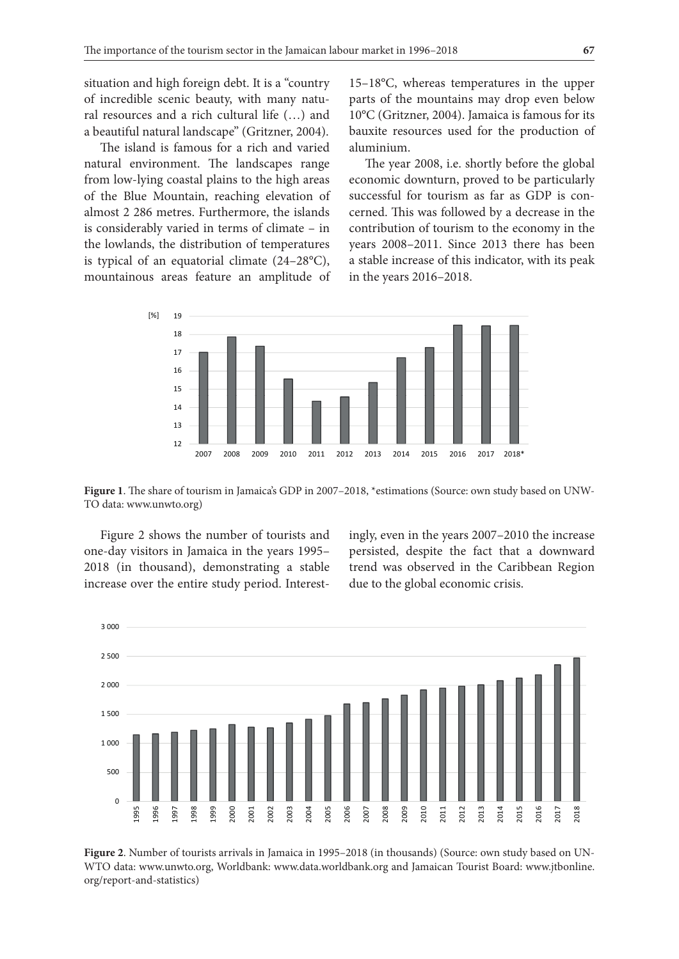situation and high foreign debt. It is a "country of incredible scenic beauty, with many natural resources and a rich cultural life (…) and a beautiful natural landscape" (Gritzner, 2004).

The island is famous for a rich and varied natural environment. The landscapes range from low-lying coastal plains to the high areas of the Blue Mountain, reaching elevation of almost 2 286 metres. Furthermore, the islands is considerably varied in terms of climate – in the lowlands, the distribution of temperatures is typical of an equatorial climate (24–28°C), mountainous areas feature an amplitude of

15–18°C, whereas temperatures in the upper parts of the mountains may drop even below 10°C (Gritzner, 2004). Jamaica is famous for its bauxite resources used for the production of aluminium.

The year 2008, i.e. shortly before the global economic downturn, proved to be particularly successful for tourism as far as GDP is concerned. This was followed by a decrease in the contribution of tourism to the economy in the years 2008–2011. Since 2013 there has been a stable increase of this indicator, with its peak in the years 2016–2018.



**Figure 1**. The share of tourism in Jamaica's GDP in 2007–2018, \*estimations (Source: own study based on UNW-TO data: www.unwto.org)

Figure 2 shows the number of tourists and one-day visitors in Jamaica in the years 1995– 2018 (in thousand), demonstrating a stable increase over the entire study period. Interestingly, even in the years 2007–2010 the increase persisted, despite the fact that a downward trend was observed in the Caribbean Region due to the global economic crisis.



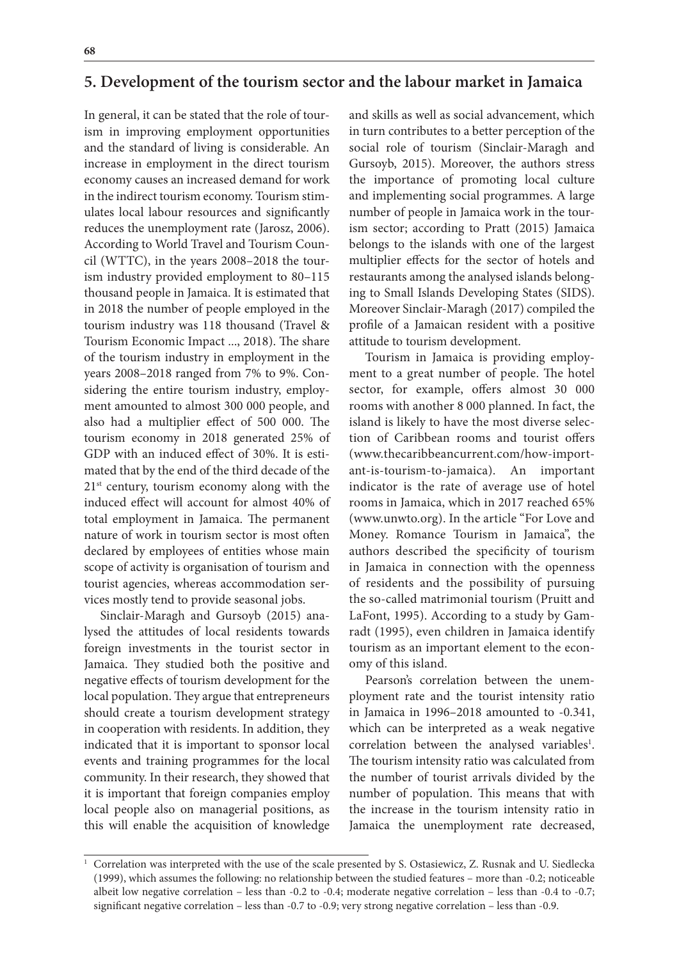### **5. Development of the tourism sector and the labour market in Jamaica**

In general, it can be stated that the role of tourism in improving employment opportunities and the standard of living is considerable. An increase in employment in the direct tourism economy causes an increased demand for work in the indirect tourism economy. Tourism stimulates local labour resources and significantly reduces the unemployment rate (Jarosz, 2006). According to World Travel and Tourism Council (WTTC), in the years 2008–2018 the tourism industry provided employment to 80–115 thousand people in Jamaica. It is estimated that in 2018 the number of people employed in the tourism industry was 118 thousand (Travel & Tourism Economic Impact ..., 2018). The share of the tourism industry in employment in the years 2008–2018 ranged from 7% to 9%. Considering the entire tourism industry, employment amounted to almost 300 000 people, and also had a multiplier effect of 500 000. The tourism economy in 2018 generated 25% of GDP with an induced effect of 30%. It is estimated that by the end of the third decade of the  $21<sup>st</sup>$  century, tourism economy along with the induced effect will account for almost 40% of total employment in Jamaica. The permanent nature of work in tourism sector is most often declared by employees of entities whose main scope of activity is organisation of tourism and tourist agencies, whereas accommodation services mostly tend to provide seasonal jobs.

Sinclair-Maragh and Gursoyb (2015) analysed the attitudes of local residents towards foreign investments in the tourist sector in Jamaica. They studied both the positive and negative effects of tourism development for the local population. They argue that entrepreneurs should create a tourism development strategy in cooperation with residents. In addition, they indicated that it is important to sponsor local events and training programmes for the local community. In their research, they showed that it is important that foreign companies employ local people also on managerial positions, as this will enable the acquisition of knowledge

and skills as well as social advancement, which in turn contributes to a better perception of the social role of tourism (Sinclair-Maragh and Gursoyb, 2015). Moreover, the authors stress the importance of promoting local culture and implementing social programmes. A large number of people in Jamaica work in the tourism sector; according to Pratt (2015) Jamaica belongs to the islands with one of the largest multiplier effects for the sector of hotels and restaurants among the analysed islands belonging to Small Islands Developing States (SIDS). Moreover Sinclair-Maragh (2017) compiled the profile of a Jamaican resident with a positive attitude to tourism development.

Tourism in Jamaica is providing employment to a great number of people. The hotel sector, for example, offers almost 30 000 rooms with another 8 000 planned. In fact, the island is likely to have the most diverse selection of Caribbean rooms and tourist offers (www.thecaribbeancurrent.com/how-important-is-tourism-to-jamaica). An important indicator is the rate of average use of hotel rooms in Jamaica, which in 2017 reached 65% (www.unwto.org). In the article "For Love and Money. Romance Tourism in Jamaica", the authors described the specificity of tourism in Jamaica in connection with the openness of residents and the possibility of pursuing the so-called matrimonial tourism (Pruitt and LaFont, 1995). According to a study by Gamradt (1995), even children in Jamaica identify tourism as an important element to the economy of this island.

Pearson's correlation between the unemployment rate and the tourist intensity ratio in Jamaica in 1996–2018 amounted to -0.341, which can be interpreted as a weak negative correlation between the analysed variables<sup>1</sup>. The tourism intensity ratio was calculated from the number of tourist arrivals divided by the number of population. This means that with the increase in the tourism intensity ratio in Jamaica the unemployment rate decreased,

<sup>1</sup> Correlation was interpreted with the use of the scale presented by S. Ostasiewicz, Z. Rusnak and U. Siedlecka (1999), which assumes the following: no relationship between the studied features – more than -0.2; noticeable albeit low negative correlation – less than -0.2 to -0.4; moderate negative correlation – less than -0.4 to -0.7; significant negative correlation – less than -0.7 to -0.9; very strong negative correlation – less than -0.9.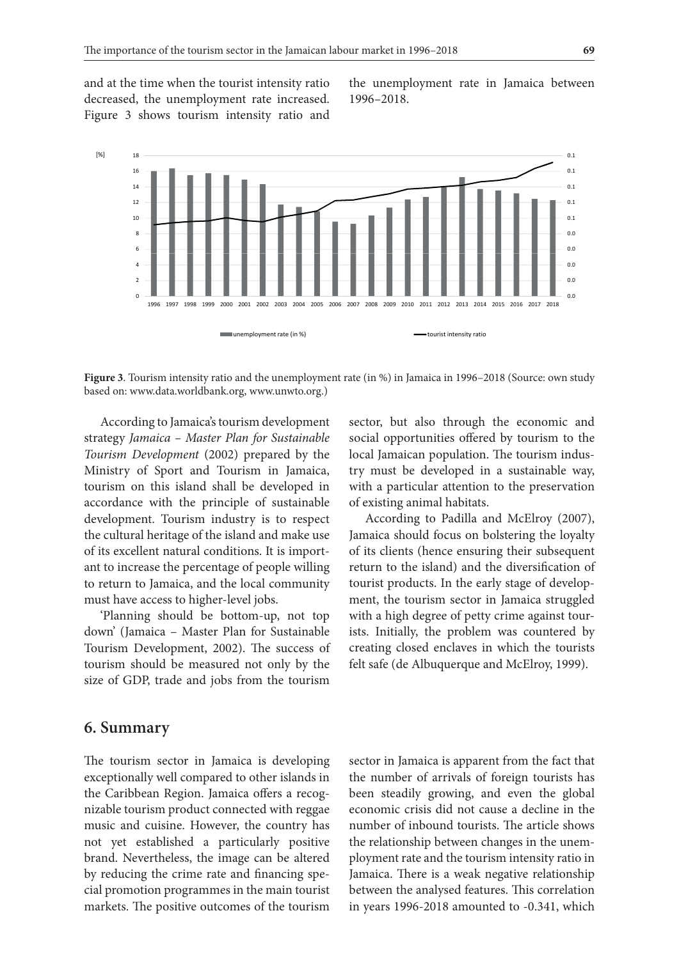and at the time when the tourist intensity ratio decreased, the unemployment rate increased. Figure 3 shows tourism intensity ratio and the unemployment rate in Jamaica between 1996–2018.



**Figure 3**. Tourism intensity ratio and the unemployment rate (in %) in Jamaica in 1996–2018 (Source: own study based on: www.data.worldbank.org, www.unwto.org.)

According to Jamaica's tourism development strategy *Jamaica – Master Plan for Sustainable Tourism Development* (2002) prepared by the Ministry of Sport and Tourism in Jamaica, tourism on this island shall be developed in accordance with the principle of sustainable development. Tourism industry is to respect the cultural heritage of the island and make use of its excellent natural conditions. It is important to increase the percentage of people willing to return to Jamaica, and the local community must have access to higher-level jobs.

'Planning should be bottom-up, not top down' (Jamaica – Master Plan for Sustainable Tourism Development, 2002). The success of tourism should be measured not only by the size of GDP, trade and jobs from the tourism

sector, but also through the economic and social opportunities offered by tourism to the local Jamaican population. The tourism industry must be developed in a sustainable way, with a particular attention to the preservation of existing animal habitats.

According to Padilla and McElroy (2007), Jamaica should focus on bolstering the loyalty of its clients (hence ensuring their subsequent return to the island) and the diversification of tourist products. In the early stage of development, the tourism sector in Jamaica struggled with a high degree of petty crime against tourists. Initially, the problem was countered by creating closed enclaves in which the tourists felt safe (de Albuquerque and McElroy, 1999).

### **6. Summary**

The tourism sector in Jamaica is developing exceptionally well compared to other islands in the Caribbean Region. Jamaica offers a recognizable tourism product connected with reggae music and cuisine. However, the country has not yet established a particularly positive brand. Nevertheless, the image can be altered by reducing the crime rate and financing special promotion programmes in the main tourist markets. The positive outcomes of the tourism

sector in Jamaica is apparent from the fact that the number of arrivals of foreign tourists has been steadily growing, and even the global economic crisis did not cause a decline in the number of inbound tourists. The article shows the relationship between changes in the unemployment rate and the tourism intensity ratio in Jamaica. There is a weak negative relationship between the analysed features. This correlation in years 1996-2018 amounted to -0.341, which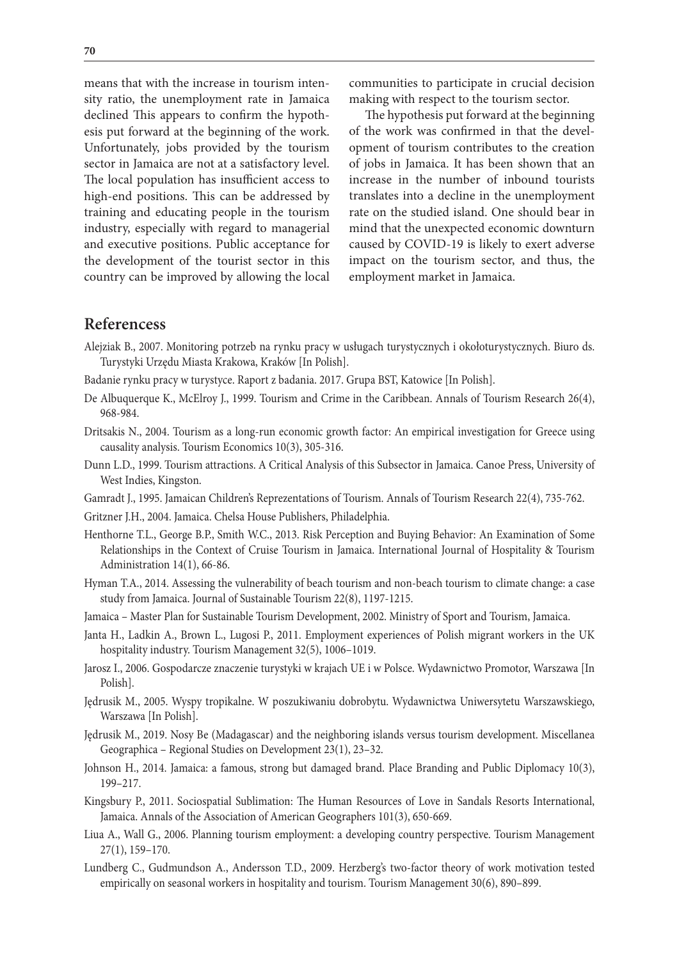means that with the increase in tourism intensity ratio, the unemployment rate in Jamaica declined This appears to confirm the hypothesis put forward at the beginning of the work. Unfortunately, jobs provided by the tourism sector in Jamaica are not at a satisfactory level. The local population has insufficient access to high-end positions. This can be addressed by training and educating people in the tourism industry, especially with regard to managerial and executive positions. Public acceptance for the development of the tourist sector in this country can be improved by allowing the local

communities to participate in crucial decision making with respect to the tourism sector.

The hypothesis put forward at the beginning of the work was confirmed in that the development of tourism contributes to the creation of jobs in Jamaica. It has been shown that an increase in the number of inbound tourists translates into a decline in the unemployment rate on the studied island. One should bear in mind that the unexpected economic downturn caused by COVID-19 is likely to exert adverse impact on the tourism sector, and thus, the employment market in Jamaica.

#### **Referencess**

- Alejziak B., 2007. Monitoring potrzeb na rynku pracy w usługach turystycznych i okołoturystycznych. Biuro ds. Turystyki Urzędu Miasta Krakowa, Kraków [In Polish].
- Badanie rynku pracy w turystyce. Raport z badania. 2017. Grupa BST, Katowice [In Polish].
- De Albuquerque K., McElroy J., 1999. Tourism and Crime in the Caribbean. Annals of Tourism Research 26(4), 968-984.
- Dritsakis N., 2004. Tourism as a long-run economic growth factor: An empirical investigation for Greece using causality analysis. Tourism Economics 10(3), 305-316.
- Dunn L.D., 1999. Tourism attractions. A Critical Analysis of this Subsector in Jamaica. Canoe Press, University of West Indies, Kingston.
- Gamradt J., 1995. Jamaican Children's Reprezentations of Tourism. Annals of Tourism Research 22(4), 735-762.
- Gritzner J.H., 2004. Jamaica. Chelsa House Publishers, Philadelphia.
- Henthorne T.L., George B.P., Smith W.C., 2013. Risk Perception and Buying Behavior: An Examination of Some Relationships in the Context of Cruise Tourism in Jamaica. International Journal of Hospitality & Tourism Administration 14(1), 66-86.
- Hyman T.A., 2014. Assessing the vulnerability of beach tourism and non-beach tourism to climate change: a case study from Jamaica. Journal of Sustainable Tourism 22(8), 1197-1215.
- Jamaica Master Plan for Sustainable Tourism Development, 2002. Ministry of Sport and Tourism, Jamaica.
- Janta H., Ladkin A., Brown L., Lugosi P., 2011. Employment experiences of Polish migrant workers in the UK hospitality industry. Tourism Management 32(5), 1006–1019.
- Jarosz I., 2006. Gospodarcze znaczenie turystyki w krajach UE i w Polsce. Wydawnictwo Promotor, Warszawa [In Polish].
- Jędrusik M., 2005. Wyspy tropikalne. W poszukiwaniu dobrobytu. Wydawnictwa Uniwersytetu Warszawskiego, Warszawa [In Polish].
- Jędrusik M., 2019. Nosy Be (Madagascar) and the neighboring islands versus tourism development. Miscellanea Geographica – Regional Studies on Development 23(1), 23–32.
- Johnson H., 2014. Jamaica: a famous, strong but damaged brand. Place Branding and Public Diplomacy 10(3), 199–217.
- Kingsbury P., 2011. Sociospatial Sublimation: The Human Resources of Love in Sandals Resorts International, Jamaica. Annals of the Association of American Geographers 101(3), 650-669.
- Liua A., Wall G., 2006. Planning tourism employment: a developing country perspective. Tourism Management 27(1), 159–170.
- Lundberg C., Gudmundson A., Andersson T.D., 2009. Herzberg's two-factor theory of work motivation tested empirically on seasonal workers in hospitality and tourism. Tourism Management 30(6), 890–899.